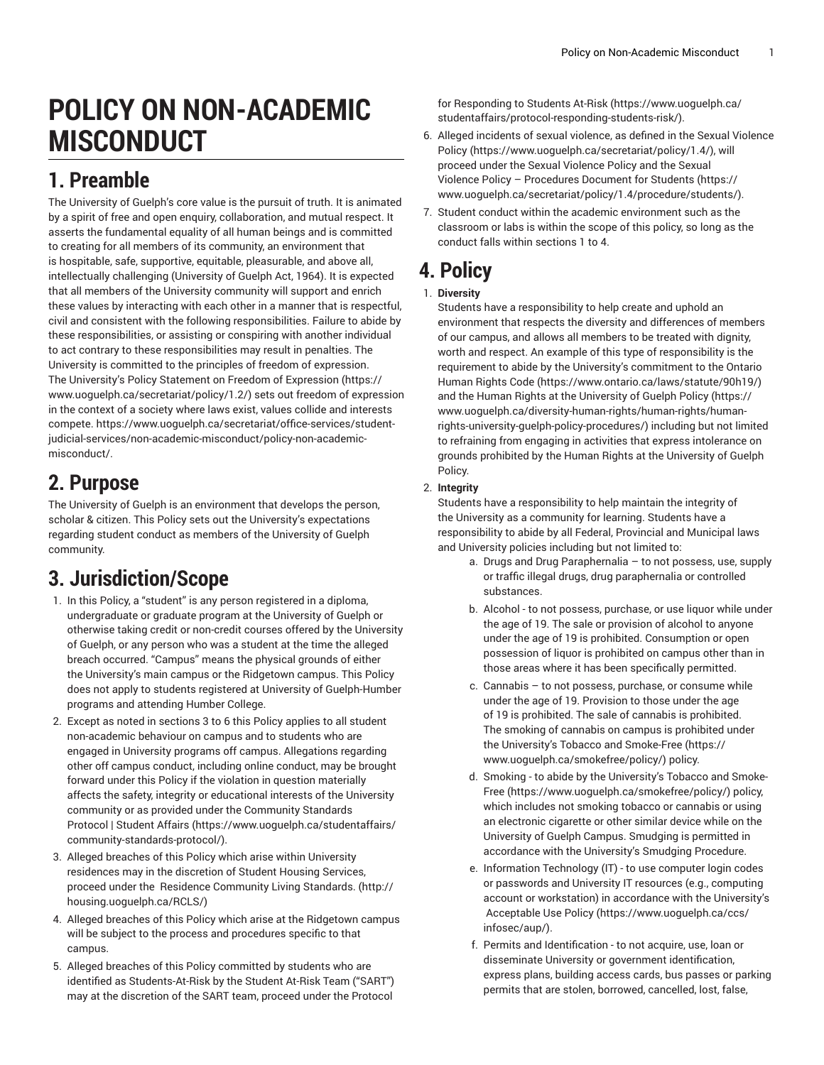# **POLICY ON NON-ACADEMIC MISCONDUCT**

### **1. Preamble**

The University of Guelph's core value is the pursuit of truth. It is animated by a spirit of free and open enquiry, collaboration, and mutual respect. It asserts the fundamental equality of all human beings and is committed to creating for all members of its community, an environment that is hospitable, safe, supportive, equitable, pleasurable, and above all, intellectually challenging (University of Guelph Act, 1964). It is expected that all members of the University community will support and enrich these values by interacting with each other in a manner that is respectful, civil and consistent with the following responsibilities. Failure to abide by these responsibilities, or assisting or conspiring with another individual to act contrary to these responsibilities may result in penalties. The University is committed to the principles of freedom of expression. The University's Policy Statement on Freedom of [Expression](g=����m\os�l�����p�Y`��LWV���ϠT�>W�B���) ([https://](g=����m\os�l�����p�Y`��LWV���ϠT�>W�B���) [www.uoguelph.ca/secretariat/policy/1.2/](g=����m\os�l�����p�Y`��LWV���ϠT�>W�B���)) sets out freedom of expression in the context of a society where laws exist, values collide and interests compete. [https://www.uoguelph.ca/secretariat/office-services/student](�;�L[����7���ۊ۰h�F^g�;�z���8��8��@�l��y�-F�2��T/�1Q�r��t�U����y��aK�e`��9+������0�=�kgb �$���[��G��m���p��G��ֻ�)[judicial-services/non-academic-misconduct/policy-non-academic](�;�L[����7���ۊ۰h�F^g�;�z���8��8��@�l��y�-F�2��T/�1Q�r��t�U����y��aK�e`��9+������0�=�kgb �$���[��G��m���p��G��ֻ�)[misconduct/.](�;�L[����7���ۊ۰h�F^g�;�z���8��8��@�l��y�-F�2��T/�1Q�r��t�U����y��aK�e`��9+������0�=�kgb �$���[��G��m���p��G��ֻ�)

## **2. Purpose**

The University of Guelph is an environment that develops the person, scholar & citizen. This Policy sets out the University's expectations regarding student conduct as members of the University of Guelph community.

## **3. Jurisdiction/Scope**

- 1. In this Policy, a "student" is any person registered in a diploma, undergraduate or graduate program at the University of Guelph or otherwise taking credit or non-credit courses offered by the University of Guelph, or any person who was a student at the time the alleged breach occurred. "Campus" means the physical grounds of either the University's main campus or the Ridgetown campus. This Policy does not apply to students registered at University of Guelph-Humber programs and attending Humber College.
- 2. Except as noted in sections 3 to 6 this Policy applies to all student non-academic behaviour on campus and to students who are engaged in University programs off campus. Allegations regarding other off campus conduct, including online conduct, may be brought forward under this Policy if the violation in question materially affects the safety, integrity or educational interests of the University community or as provided under the [Community](�e$,�M՗c+
g�%$����UR��y���E2��f���&_���ĝ �L��T/c$�iR\}R�_H�) Standards [Protocol](�e$,�M՗c+
g�%$����UR��y���E2��f���&_���ĝ �L��T/c$�iR\}R�_H�) | Student Affairs [\(https://www.uoguelph.ca/studentaffairs/](�e$,�M՗c+
g�%$����UR��y���E2��f���&_���ĝ �L��T/c$�iR\}R�_H�) [community-standards-protocol/](�e$,�M՗c+
g�%$����UR��y���E2��f���&_���ĝ �L��T/c$�iR\}R�_H�)).
- 3. Alleged breaches of this Policy which arise within University residences may in the discretion of Student Housing Services, proceed under the Residence [Community](�|4����m:��-� YسI�=�!_"7�e�� �+) Living Standards. [\(http://](�|4����m:��-� YسI�=�!_"7�e�� �+) [housing.uoguelph.ca/RCLS/\)](�|4����m:��-� YسI�=�!_"7�e�� �+)
- 4. Alleged breaches of this Policy which arise at the Ridgetown campus will be subject to the process and procedures specific to that campus.
- 5. Alleged breaches of this Policy committed by students who are identified as Students-At-Risk by the Student At-Risk Team ("SART") may at the discretion of the SART team, proceed under the [Protocol](���M�S���	!�o{���7pT�b��xi+>�"��{����v�ë��N�==��:������㭟7)

for [Responding](���M�S���	!�o{���7pT�b��xi+>�"��{����v�ë��N�==��:������㭟7) to Students At-Risk [\(https://www.uoguelph.ca/](���M�S���	!�o{���7pT�b��xi+>�"��{����v�ë��N�==��:������㭟7) [studentaffairs/protocol-responding-students-risk/](���M�S���	!�o{���7pT�b��xi+>�"��{����v�ë��N�==��:������㭟7)).

- 6. Alleged incidents of sexual violence, as defined in the [Sexual Violence](���K��4e��{S��r	��O]��C����V���*p������wA) [Policy](���K��4e��{S��r	��O]��C����V���*p������wA) ([https://www.uoguelph.ca/secretariat/policy/1.4/\)](���K��4e��{S��r	��O]��C����V���*p������wA), will proceed under the Sexual Violence Policy and the [Sexual](K���VP8�phҏ) �#9u���� cPR{�69w�s,cwp�< C�c*s����|
�M�,{�`) Violence Policy – [Procedures](K���VP8�phҏ) �#9u���� cPR{�69w�s,cwp�< C�c*s����|
�M�,{�`) Document for Students ([https://](K���VP8�phҏ) �#9u���� cPR{�69w�s,cwp�< C�c*s����|
�M�,{�`) [www.uoguelph.ca/secretariat/policy/1.4/procedure/students/](K���VP8�phҏ) �#9u���� cPR{�69w�s,cwp�< C�c*s����|
�M�,{�`)).
- 7. Student conduct within the academic environment such as the classroom or labs is within the scope of this policy, so long as the conduct falls within sections 1 to 4.

### **4. Policy**

### 1. **Diversity**

Students have a responsibility to help create and uphold an environment that respects the diversity and differences of members of our campus, and allows all members to be treated with dignity, worth and respect. An example of this type of responsibility is the requirement to abide by the University's commitment to the [Ontario](���S�;Dp�&�����6E)�T@���6ׄ�d��G�h�x+*�) [Human Rights Code](���S�;Dp�&�����6E)�T@���6ׄ�d��G�h�x+*�) ([https://www.ontario.ca/laws/statute/90h19/](���S�;Dp�&�����6E)�T@���6ׄ�d��G�h�x+*�)) and the Human Rights at the [University](�0���d�A5�<i��+��JN�d�t���:��ò�l�K��9��k�F�\Ŷ!/vx�-^�]7���l�1��­?��[^i�fM��H����/����
"{���{"69�d*) of Guelph Policy [\(https://](�0���d�A5�<i��+��JN�d�t���:��ò�l�K��9��k�F�\Ŷ!/vx�-^�]7���l�1��­?��[^i�fM��H����/����
"{���{"69�d*) [www.uoguelph.ca/diversity-human-rights/human-rights/human](�0���d�A5�<i��+��JN�d�t���:��ò�l�K��9��k�F�\Ŷ!/vx�-^�]7���l�1��­?��[^i�fM��H����/����
"{���{"69�d*)[rights-university-guelph-policy-procedures/](�0���d�A5�<i��+��JN�d�t���:��ò�l�K��9��k�F�\Ŷ!/vx�-^�]7���l�1��­?��[^i�fM��H����/����
"{���{"69�d*)) including but not limited to refraining from engaging in activities that express intolerance on grounds prohibited by the Human Rights at the University of Guelph Policy.

### 2. **Integrity**

Students have a responsibility to help maintain the integrity of the University as a community for learning. Students have a responsibility to abide by all Federal, Provincial and Municipal laws and University policies including but not limited to:

- a. Drugs and Drug Paraphernalia to not possess, use, supply or traffic illegal drugs, drug paraphernalia or controlled substances.
- b. Alcohol to not possess, purchase, or use liquor while under the age of 19. The sale or provision of alcohol to anyone under the age of 19 is prohibited. Consumption or open possession of liquor is prohibited on campus other than in those areas where it has been specifically permitted.
- c. Cannabis to not possess, purchase, or consume while under the age of 19. Provision to those under the age of 19 is prohibited. The sale of cannabis is prohibited. The smoking of cannabis on campus is prohibited under the University's Tobacco and [Smoke-Free](���S6?���9i�b��)�h��o��! :�#�Mm=�) ([https://](���S6?���9i�b��)�h��o��! :�#�Mm=�) [www.uoguelph.ca/smokefree/policy/\)](���S6?���9i�b��)�h��o��! :�#�Mm=�) policy.
- d. Smoking to abide by the University's [Tobacco](���S6?���9i�b��)�h��o��! :�#�Mm=�) and Smoke-[Free](���S6?���9i�b��)�h��o��! :�#�Mm=�) ([https://www.uoguelph.ca/smokefree/policy/](���S6?���9i�b��)�h��o��! :�#�Mm=�)) policy, which includes not smoking tobacco or cannabis or using an electronic cigarette or other similar device while on the University of Guelph Campus. Smudging is permitted in accordance with the University's Smudging Procedure.
- e. Information Technology (IT) to use computer login codes or passwords and University IT resources (e.g., computing account or workstation) in accordance with the University's [Acceptable](�H��q[���82�;ˠ�D��Łdm��u��hA�Nt1�6) Use Policy [\(https://www.uoguelph.ca/ccs/](�H��q[���82�;ˠ�D��Łdm��u��hA�Nt1�6) [infosec/aup/](�H��q[���82�;ˠ�D��Łdm��u��hA�Nt1�6)).
- f. Permits and Identification to not acquire, use, loan or disseminate University or government identification, express plans, building access cards, bus passes or parking permits that are stolen, borrowed, cancelled, lost, false,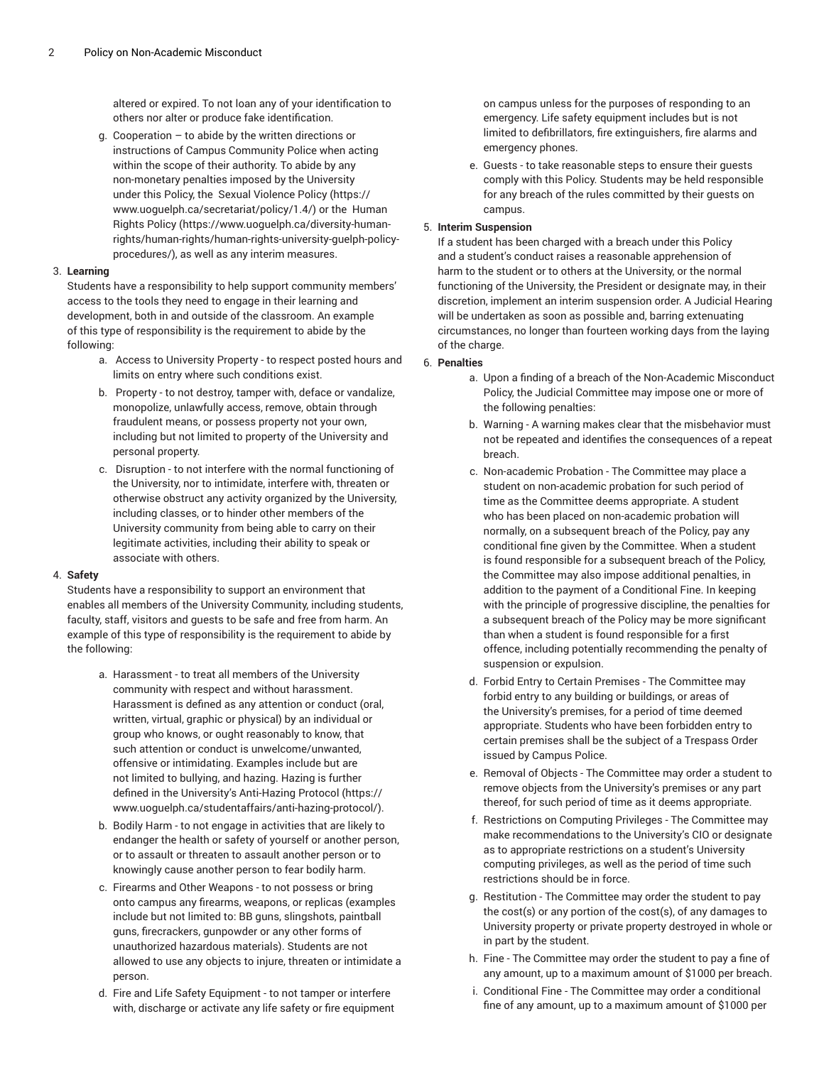altered or expired. To not loan any of your identification to others nor alter or produce fake identification.

g. Cooperation – to abide by the written directions or instructions of Campus Community Police when acting within the scope of their authority. To abide by any non-monetary penalties imposed by the University under this Policy, the Sexual [Violence](���K��4e��{S��r	��O]��C����V���*p������wA) Policy ([https://](���K��4e��{S��r	��O]��C����V���*p������wA) [www.uoguelph.ca/secretariat/policy/1.4/](���K��4e��{S��r	��O]��C����V���*p������wA)) or the [Human](�0���d�A5�<i��+��JN�d�t���:��ò�l�K��9��k�F�\Ŷ!/vx�-^�]7���l�1��­?��[^i�fM��H����/����
"{���{"69�d*) [Rights](�0���d�A5�<i��+��JN�d�t���:��ò�l�K��9��k�F�\Ŷ!/vx�-^�]7���l�1��­?��[^i�fM��H����/����
"{���{"69�d*) Policy ([https://www.uoguelph.ca/diversity-human](�0���d�A5�<i��+��JN�d�t���:��ò�l�K��9��k�F�\Ŷ!/vx�-^�]7���l�1��­?��[^i�fM��H����/����
"{���{"69�d*)[rights/human-rights/human-rights-university-guelph-policy](�0���d�A5�<i��+��JN�d�t���:��ò�l�K��9��k�F�\Ŷ!/vx�-^�]7���l�1��­?��[^i�fM��H����/����
"{���{"69�d*)[procedures/\)](�0���d�A5�<i��+��JN�d�t���:��ò�l�K��9��k�F�\Ŷ!/vx�-^�]7���l�1��­?��[^i�fM��H����/����
"{���{"69�d*), as well as any interim measures.

#### 3. **Learning**

Students have a responsibility to help support community members' access to the tools they need to engage in their learning and development, both in and outside of the classroom. An example of this type of responsibility is the requirement to abide by the following:

- a. Access to University Property to respect posted hours and limits on entry where such conditions exist.
- b. Property to not destroy, tamper with, deface or vandalize, monopolize, unlawfully access, remove, obtain through fraudulent means, or possess property not your own, including but not limited to property of the University and personal property.
- c. Disruption to not interfere with the normal functioning of the University, nor to intimidate, interfere with, threaten or otherwise obstruct any activity organized by the University, including classes, or to hinder other members of the University community from being able to carry on their legitimate activities, including their ability to speak or associate with others.

#### 4. **Safety**

Students have a responsibility to support an environment that enables all members of the University Community, including students, faculty, staff, visitors and guests to be safe and free from harm. An example of this type of responsibility is the requirement to abide by the following:

- a. Harassment to treat all members of the University community with respect and without harassment. Harassment is defined as any attention or conduct (oral, written, virtual, graphic or physical) by an individual or group who knows, or ought reasonably to know, that such attention or conduct is unwelcome/unwanted, offensive or intimidating. Examples include but are not limited to bullying, and hazing. Hazing is further defined in the University's [Anti-Hazing](f��>/�J����!#�����"��NB�&e��?����Xy8>�IO/���G}�*�|����) Protocol ([https://](f��>/�J����!#�����"��NB�&e��?����Xy8>�IO/���G}�*�|����) [www.uoguelph.ca/studentaffairs/anti-hazing-protocol/\)](f��>/�J����!#�����"��NB�&e��?����Xy8>�IO/���G}�*�|����).
- b. Bodily Harm to not engage in activities that are likely to endanger the health or safety of yourself or another person, or to assault or threaten to assault another person or to knowingly cause another person to fear bodily harm.
- c. Firearms and Other Weapons to not possess or bring onto campus any firearms, weapons, or replicas (examples include but not limited to: BB guns, slingshots, paintball guns, firecrackers, gunpowder or any other forms of unauthorized hazardous materials). Students are not allowed to use any objects to injure, threaten or intimidate a person.
- d. Fire and Life Safety Equipment to not tamper or interfere with, discharge or activate any life safety or fire equipment

on campus unless for the purposes of responding to an emergency. Life safety equipment includes but is not limited to defibrillators, fire extinguishers, fire alarms and emergency phones.

e. Guests - to take reasonable steps to ensure their guests comply with this Policy. Students may be held responsible for any breach of the rules committed by their guests on campus.

#### 5. **Interim Suspension**

If a student has been charged with a breach under this Policy and a student's conduct raises a reasonable apprehension of harm to the student or to others at the University, or the normal functioning of the University, the President or designate may, in their discretion, implement an interim suspension order. A Judicial Hearing will be undertaken as soon as possible and, barring extenuating circumstances, no longer than fourteen working days from the laying of the charge.

#### 6. **Penalties**

- a. Upon a finding of a breach of the Non-Academic Misconduct Policy, the Judicial Committee may impose one or more of the following penalties:
- b. Warning A warning makes clear that the misbehavior must not be repeated and identifies the consequences of a repeat breach.
- c. Non-academic Probation The Committee may place a student on non-academic probation for such period of time as the Committee deems appropriate. A student who has been placed on non-academic probation will normally, on a subsequent breach of the Policy, pay any conditional fine given by the Committee. When a student is found responsible for a subsequent breach of the Policy, the Committee may also impose additional penalties, in addition to the payment of a Conditional Fine. In keeping with the principle of progressive discipline, the penalties for a subsequent breach of the Policy may be more significant than when a student is found responsible for a first offence, including potentially recommending the penalty of suspension or expulsion.
- d. Forbid Entry to Certain Premises The Committee may forbid entry to any building or buildings, or areas of the University's premises, for a period of time deemed appropriate. Students who have been forbidden entry to certain premises shall be the subject of a Trespass Order issued by Campus Police.
- e. Removal of Objects The Committee may order a student to remove objects from the University's premises or any part thereof, for such period of time as it deems appropriate.
- f. Restrictions on Computing Privileges The Committee may make recommendations to the University's CIO or designate as to appropriate restrictions on a student's University computing privileges, as well as the period of time such restrictions should be in force.
- g. Restitution The Committee may order the student to pay the cost(s) or any portion of the cost(s), of any damages to University property or private property destroyed in whole or in part by the student.
- h. Fine The Committee may order the student to pay a fine of any amount, up to a maximum amount of \$1000 per breach.
- i. Conditional Fine The Committee may order a conditional fine of any amount, up to a maximum amount of \$1000 per